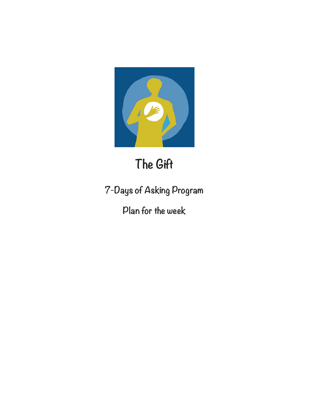

# **The Gift**

**7-Days of Asking Program**

**Plan for the week**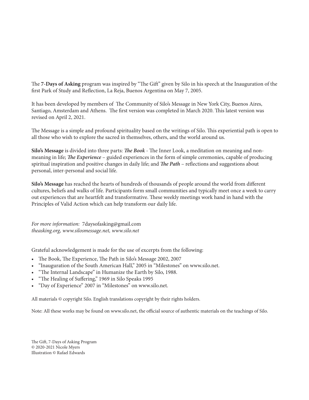The **7-Days of Asking** program was inspired by "The Gift" given by Silo in his speech at the Inauguration of the first Park of Study and Reflection, La Reja, Buenos Argentina on May 7, 2005.

It has been developed by members of The Community of Silo's Message in New York City, Buenos Aires, Santiago, Amsterdam and Athens. The first version was completed in March 2020. This latest version was revised on April 2, 2021.

The Message is a simple and profound spirituality based on the writings of Silo. This experiential path is open to all those who wish to explore the sacred in themselves, others, and the world around us.

**Silo's Message** is divided into three parts: *The Book* - The Inner Look, a meditation on meaning and nonmeaning in life; *The Experience* – guided experiences in the form of simple ceremonies, capable of producing spiritual inspiration and positive changes in daily life; and *The Path* – reflections and suggestions about personal, inter-personal and social life.

**Silo's Message** has reached the hearts of hundreds of thousands of people around the world from different cultures, beliefs and walks of life. Participants form small communities and typically meet once a week to carry out experiences that are heartfelt and transformative. These weekly meetings work hand in hand with the Principles of Valid Action which can help transform our daily life.

*For more information:* 7daysofasking@gmail.com *theasking.org, www.silosmessage.net, www.silo.net*

Grateful acknowledgement is made for the use of excerpts from the following:

- The Book, The Experience, The Path in Silo's Message 2002, 2007
- "Inauguration of the South American Hall," 2005 in "Milestones" on www.silo.net.
- "The Internal Landscape" in Humanize the Earth by Silo, 1988.
- "The Healing of Suffering," 1969 in Silo Speaks 1995
- "Day of Experience" 2007 in "Milestones" on www.silo.net.

All materials © copyright Silo. English translations copyright by their rights holders.

Note: All these works may be found on www.silo.net, the official source of authentic materials on the teachings of Silo.

The Gift, 7-Days of Asking Program © 2020-2021 Nicole Myers Illustration © Rafael Edwards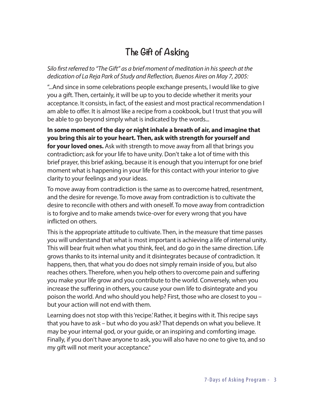# **The Gift of Asking**

*Silo first referred to "The Gift" as a brief moment of meditation in his speech at the dedication of La Reja Park of Study and Reflection, Buenos Aires on May 7, 2005:* 

"...And since in some celebrations people exchange presents, I would like to give you a gift. Then, certainly, it will be up to you to decide whether it merits your acceptance. It consists, in fact, of the easiest and most practical recommendation I am able to offer. It is almost like a recipe from a cookbook, but I trust that you will be able to go beyond simply what is indicated by the words...

**In some moment of the day or night inhale a breath of air, and imagine that you bring this air to your heart. Then, ask with strength for yourself and for your loved ones.** Ask with strength to move away from all that brings you contradiction; ask for your life to have unity. Don't take a lot of time with this brief prayer, this brief asking, because it is enough that you interrupt for one brief moment what is happening in your life for this contact with your interior to give clarity to your feelings and your ideas.

To move away from contradiction is the same as to overcome hatred, resentment, and the desire for revenge. To move away from contradiction is to cultivate the desire to reconcile with others and with oneself. To move away from contradiction is to forgive and to make amends twice-over for every wrong that you have inflicted on others.

This is the appropriate attitude to cultivate. Then, in the measure that time passes you will understand that what is most important is achieving a life of internal unity. This will bear fruit when what you think, feel, and do go in the same direction. Life grows thanks to its internal unity and it disintegrates because of contradiction. It happens, then, that what you do does not simply remain inside of you, but also reaches others. Therefore, when you help others to overcome pain and suffering you make your life grow and you contribute to the world. Conversely, when you increase the suffering in others, you cause your own life to disintegrate and you poison the world. And who should you help? First, those who are closest to you – but your action will not end with them.

Learning does not stop with this 'recipe.' Rather, it begins with it. This recipe says that you have to ask – but who do you ask? That depends on what you believe. It may be your internal god, or your guide, or an inspiring and comforting image. Finally, if you don't have anyone to ask, you will also have no one to give to, and so my gift will not merit your acceptance."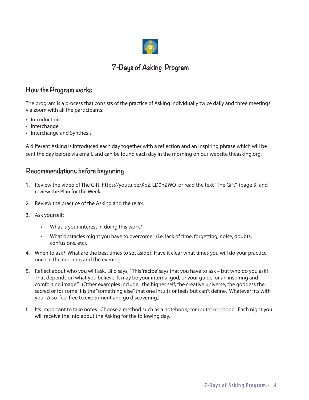

### **7-Days of Asking Program**

### **How the Program works**

The program is a process that consists of the practice of Asking individually twice daily and three meetings via zoom with all the participants:

- Introduction
- Interchange
- Interchange and Synthesis

A different Asking is introduced each day together with a reflection and an inspiring phrase which will be sent the day before via email, and can be found each day in the morning on our website theasking.org.

### **Recommendations before beginning**

- 1. Review the video of The Gift https://youtu.be/XpZ-LD0nZWQ or read the text "The Gift" (page 3) and review the Plan for the Week.
- 2. Review the practice of the Asking and the relax.
- 3. Ask yourself:
	- What is your interest in doing this work?
	- What obstacles might you have to overcome (i.e. lack of time, forgetting, noise, doubts, confusions. etc).
- 4. When to ask?: What are the best times to set aside? Have it clear what times you will do your practice, once in the morning and the evening.
- 5. Reflect about who you will ask. Silo says, "This 'recipe' says that you have to ask but who do you ask? That depends on what you believe. It may be your internal god, or your guide, or an inspiring and comforting image." (Other examples include: the higher self, the creative universe, the goddess the sacred or for some it is the "something else" that one intuits or feels but can't define. Whatever fits with you. Also feel free to experiment and go discovering.)
- 6. It's important to take notes. Choose a method such as a notebook, computer or phone. Each night you will receive the info about the Asking for the following day.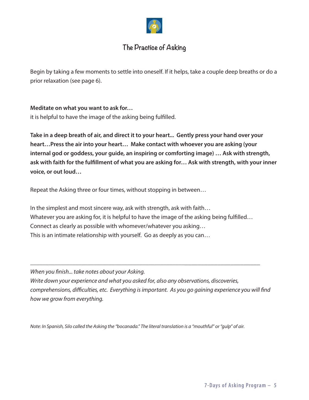

### **The Practice of Asking**

Begin by taking a few moments to settle into oneself. If it helps, take a couple deep breaths or do a prior relaxation (see page 6).

### **Meditate on what you want to ask for…**

it is helpful to have the image of the asking being fulfilled.

**Take in a deep breath of air, and direct it to your heart... Gently press your hand over your heart…Press the air into your heart… Make contact with whoever you are asking (your internal god or goddess, your guide, an inspiring or comforting image) … Ask with strength, ask with faith for the fulfillment of what you are asking for… Ask with strength, with your inner voice, or out loud…** 

Repeat the Asking three or four times, without stopping in between…

In the simplest and most sincere way, ask with strength, ask with faith… Whatever you are asking for, it is helpful to have the image of the asking being fulfilled... Connect as clearly as possible with whomever/whatever you asking… This is an intimate relationship with yourself. Go as deeply as you can…

*When you finish... take notes about your Asking. Write down your experience and what you asked for, also any observations, discoveries, comprehensions, difficulties, etc. Everything is important. As you go gaining experience you will find how we grow from everything.*

\_\_\_\_\_\_\_\_\_\_\_\_\_\_\_\_\_\_\_\_\_\_\_\_\_\_\_\_\_\_\_\_\_\_\_\_\_\_\_\_\_\_\_\_\_\_\_\_\_\_\_\_\_\_\_\_\_\_\_\_\_\_\_\_\_\_\_\_\_\_\_\_\_\_

*Note: In Spanish, Silo called the Asking the "bocanada." The literal translation is a "mouthful" or "gulp" of air.*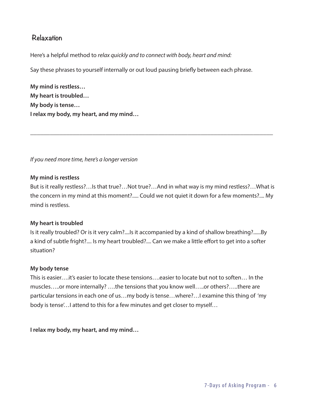### **Relaxation**

Here's a helpful method to *relax quickly and to connect with body, heart and mind:*

Say these phrases to yourself internally or out loud pausing briefly between each phrase.

**My mind is restless… My heart is troubled… My body is tense… I relax my body, my heart, and my mind…**

*If you need more time, here's a longer version*

### **My mind is restless**

But is it really restless?…Is that true?…Not true?…And in what way is my mind restless?…What is the concern in my mind at this moment?..... Could we not quiet it down for a few moments?.... My mind is restless.

\_\_\_\_\_\_\_\_\_\_\_\_\_\_\_\_\_\_\_\_\_\_\_\_\_\_\_\_\_\_\_\_\_\_\_\_\_\_\_\_\_\_\_\_\_\_\_\_\_\_\_\_\_\_\_\_\_\_\_\_\_\_\_\_\_\_\_\_\_\_\_\_\_\_

### **My heart is troubled**

Is it really troubled? Or is it very calm?....Is it accompanied by a kind of shallow breathing?......By a kind of subtle fright?.... Is my heart troubled?.... Can we make a little effort to get into a softer situation?

### **My body tense**

This is easier….it's easier to locate these tensions….easier to locate but not to soften… In the muscles…..or more internally? ….the tensions that you know well…..or others?…..there are particular tensions in each one of us…my body is tense…where?…I examine this thing of 'my body is tense'…I attend to this for a few minutes and get closer to myself…

**I relax my body, my heart, and my mind…**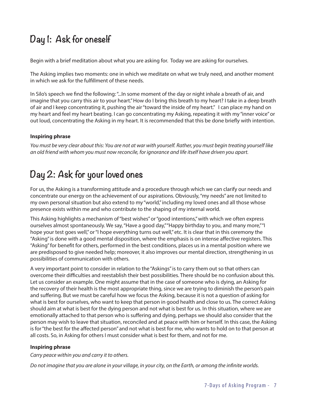## **Day 1: Ask for oneself**

Begin with a brief meditation about what you are asking for. Today we are asking for ourselves.

The Asking implies two moments: one in which we meditate on what we truly need, and another moment in which we ask for the fulfillment of these needs.

In Silo's speech we find the following: "...In some moment of the day or night inhale a breath of air, and imagine that you carry this air to your heart." How do I bring this breath to my heart? I take in a deep breath of air and I keep concentrating it, pushing the air "toward the inside of my heart." I can place my hand on my heart and feel my heart beating. I can go concentrating my Asking, repeating it with my "inner voice" or out loud, concentrating the Asking in my heart. It is recommended that this be done briefly with intention.

### **Inspiring phrase**

*You must be very clear about this: You are not at war with yourself. Rather, you must begin treating yourself like an old friend with whom you must now reconcile, for ignorance and life itself have driven you apart.*

# **Day 2: Ask for your loved ones**

For us, the Asking is a transforming attitude and a procedure through which we can clarify our needs and concentrate our energy on the achievement of our aspirations. Obviously, "my needs" are not limited to my own personal situation but also extend to my "world," including my loved ones and all those whose presence exists within me and who contribute to the shaping of my internal world.

This Asking highlights a mechanism of "best wishes" or "good intentions," with which we often express ourselves almost spontaneously. We say, "Have a good day," "Happy birthday to you, and many more," "I hope your test goes well," or "I hope everything turns out well," etc. It is clear that in this ceremony the "Asking" is done with a good mental disposition, where the emphasis is on intense affective registers. This "Asking" for benefit for others, performed in the best conditions, places us in a mental position where we are predisposed to give needed help; moreover, it also improves our mental direction, strengthening in us possibilities of communication with others.

A very important point to consider in relation to the "Askings" is to carry them out so that others can overcome their difficulties and reestablish their best possibilities. There should be no confusion about this. Let us consider an example. One might assume that in the case of someone who is dying, an Asking for the recovery of their health is the most appropriate thing, since we are trying to diminish the person's pain and suffering. But we must be careful how we focus the Asking, because it is not a question of asking for what is best for ourselves, who want to keep that person in good health and close to us. The correct Asking should aim at what is best for the dying person and not what is best for us. In this situation, where we are emotionally attached to that person who is suffering and dying, perhaps we should also consider that the person may wish to leave that situation, reconciled and at peace with him or herself. In this case, the Asking is for "the best for the affected person" and not what is best for me, who wants to hold on to that person at all costs. So, in Asking for others I must consider what is best for them, and not for me.

### **Inspiring phrase**

*Carry peace within you and carry it to others.*

*Do not imagine that you are alone in your village, in your city, on the Earth, or among the infinite worlds.*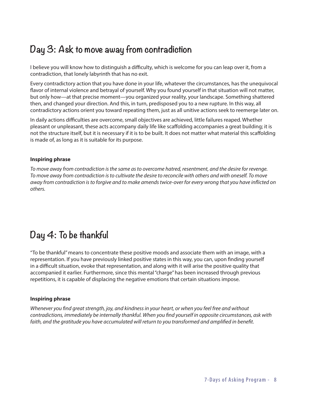# **Day 3: Ask to move away from contradiction**

I believe you will know how to distinguish a difficulty, which is welcome for you can leap over it, from a contradiction, that lonely labyrinth that has no exit.

Every contradictory action that you have done in your life, whatever the circumstances, has the unequivocal flavor of internal violence and betrayal of yourself. Why you found yourself in that situation will not matter, but only how—at that precise moment—you organized your reality, your landscape. Something shattered then, and changed your direction. And this, in turn, predisposed you to a new rupture. In this way, all contradictory actions orient you toward repeating them, just as all unitive actions seek to reemerge later on.

In daily actions difficulties are overcome, small objectives are achieved, little failures reaped. Whether pleasant or unpleasant, these acts accompany daily life like scaffolding accompanies a great building; it is not the structure itself, but it is necessary if it is to be built. It does not matter what material this scaffolding is made of, as long as it is suitable for its purpose.

#### **Inspiring phrase**

*To move away from contradiction is the same as to overcome hatred, resentment, and the desire for revenge. To move away from contradiction is to cultivate the desire to reconcile with others and with oneself. To move away from contradiction is to forgive and to make amends twice-over for every wrong that you have inflicted on others.* 

### **Day 4: To be thankful**

"To be thankful" means to concentrate these positive moods and associate them with an image, with a representation. If you have previously linked positive states in this way, you can, upon finding yourself in a difficult situation, evoke that representation, and along with it will arise the positive quality that accompanied it earlier. Furthermore, since this mental "charge" has been increased through previous repetitions, it is capable of displacing the negative emotions that certain situations impose.

#### **Inspiring phrase**

*Whenever you find great strength, joy, and kindness in your heart, or when you feel free and without contradictions, immediately be internally thankful. When you find yourself in opposite circumstances, ask with faith, and the gratitude you have accumulated will return to you transformed and amplified in benefit.*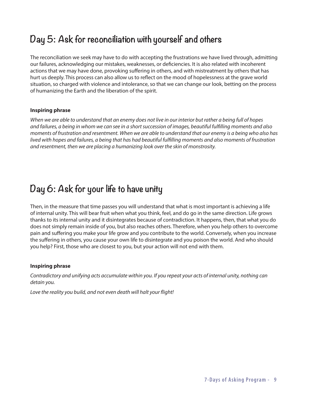### **Day 5: Ask for reconciliation with yourself and others**

The reconciliation we seek may have to do with accepting the frustrations we have lived through, admitting our failures, acknowledging our mistakes, weaknesses, or deficiencies. It is also related with incoherent actions that we may have done, provoking suffering in others, and with mistreatment by others that has hurt us deeply. This process can also allow us to reflect on the mood of hopelessness at the grave world situation, so charged with violence and intolerance, so that we can change our look, betting on the process of humanizing the Earth and the liberation of the spirit.

#### **Inspiring phrase**

*When we are able to understand that an enemy does not live in our interior but rather a being full of hopes and failures, a being in whom we can see in a short succession of images, beautiful fulfilling moments and also moments of frustration and resentment. When we are able to understand that our enemy is a being who also has lived with hopes and failures, a being that has had beautiful fulfilling moments and also moments of frustration and resentment, then we are placing a humanizing look over the skin of monstrosity.* 

### **Day 6: Ask for your life to have unity**

Then, in the measure that time passes you will understand that what is most important is achieving a life of internal unity. This will bear fruit when what you think, feel, and do go in the same direction. Life grows thanks to its internal unity and it disintegrates because of contradiction. It happens, then, that what you do does not simply remain inside of you, but also reaches others. Therefore, when you help others to overcome pain and suffering you make your life grow and you contribute to the world. Conversely, when you increase the suffering in others, you cause your own life to disintegrate and you poison the world. And who should you help? First, those who are closest to you, but your action will not end with them.

#### **Inspiring phrase**

*Contradictory and unifying acts accumulate within you. If you repeat your acts of internal unity, nothing can detain you.* 

*Love the reality you build, and not even death will halt your flight!*